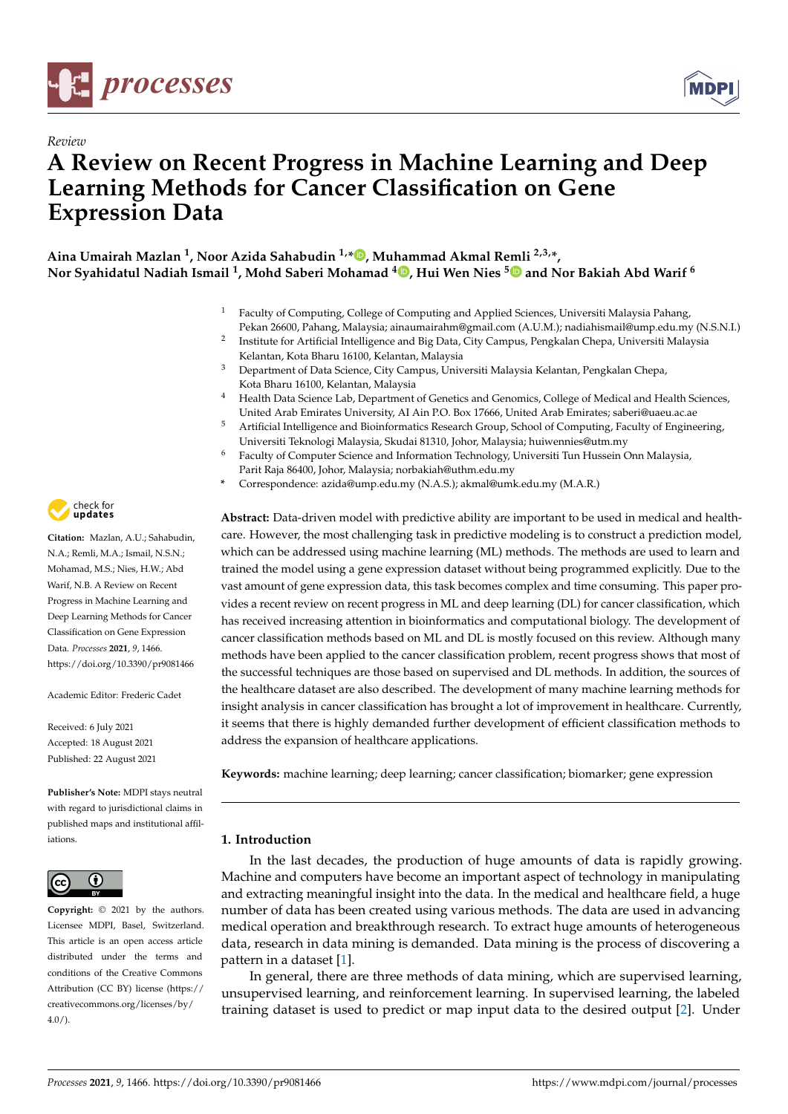



# *Review* **A Review on Recent Progress in Machine Learning and Deep Learning Methods for Cancer Classification on Gene Expression Data**

## **Aina Umairah Mazlan <sup>1</sup> , Noor Azida Sahabudin 1,[\\*](https://orcid.org/0000-0002-5297-4128) , Muhammad Akmal Remli 2,3,\*, Nor Syahidatul Nadiah Ismail <sup>1</sup> , Mohd Saberi Mohamad <sup>4</sup> [,](https://orcid.org/0000-0002-1079-4559) Hui Wen Nies [5](https://orcid.org/0000-0003-4521-1648) and Nor Bakiah Abd Warif <sup>6</sup>**

- <sup>1</sup> Faculty of Computing, College of Computing and Applied Sciences, Universiti Malaysia Pahang,
- Pekan 26600, Pahang, Malaysia; ainaumairahm@gmail.com (A.U.M.); nadiahismail@ump.edu.my (N.S.N.I.) 2
- Institute for Artificial Intelligence and Big Data, City Campus, Pengkalan Chepa, Universiti Malaysia Kelantan, Kota Bharu 16100, Kelantan, Malaysia
- <sup>3</sup> Department of Data Science, City Campus, Universiti Malaysia Kelantan, Pengkalan Chepa, Kota Bharu 16100, Kelantan, Malaysia
- <sup>4</sup> Health Data Science Lab, Department of Genetics and Genomics, College of Medical and Health Sciences, United Arab Emirates University, AI Ain P.O. Box 17666, United Arab Emirates; saberi@uaeu.ac.ae
- <sup>5</sup> Artificial Intelligence and Bioinformatics Research Group, School of Computing, Faculty of Engineering, Universiti Teknologi Malaysia, Skudai 81310, Johor, Malaysia; huiwennies@utm.my
- Faculty of Computer Science and Information Technology, Universiti Tun Hussein Onn Malaysia, Parit Raja 86400, Johor, Malaysia; norbakiah@uthm.edu.my
- **\*** Correspondence: azida@ump.edu.my (N.A.S.); akmal@umk.edu.my (M.A.R.)

**Abstract:** Data-driven model with predictive ability are important to be used in medical and healthcare. However, the most challenging task in predictive modeling is to construct a prediction model, which can be addressed using machine learning (ML) methods. The methods are used to learn and trained the model using a gene expression dataset without being programmed explicitly. Due to the vast amount of gene expression data, this task becomes complex and time consuming. This paper provides a recent review on recent progress in ML and deep learning (DL) for cancer classification, which has received increasing attention in bioinformatics and computational biology. The development of cancer classification methods based on ML and DL is mostly focused on this review. Although many methods have been applied to the cancer classification problem, recent progress shows that most of the successful techniques are those based on supervised and DL methods. In addition, the sources of the healthcare dataset are also described. The development of many machine learning methods for insight analysis in cancer classification has brought a lot of improvement in healthcare. Currently, it seems that there is highly demanded further development of efficient classification methods to address the expansion of healthcare applications.

**Keywords:** machine learning; deep learning; cancer classification; biomarker; gene expression

## **1. Introduction**

In the last decades, the production of huge amounts of data is rapidly growing. Machine and computers have become an important aspect of technology in manipulating and extracting meaningful insight into the data. In the medical and healthcare field, a huge number of data has been created using various methods. The data are used in advancing medical operation and breakthrough research. To extract huge amounts of heterogeneous data, research in data mining is demanded. Data mining is the process of discovering a pattern in a dataset [\[1\]](#page-9-0).

In general, there are three methods of data mining, which are supervised learning, unsupervised learning, and reinforcement learning. In supervised learning, the labeled training dataset is used to predict or map input data to the desired output [\[2\]](#page-9-1). Under



**Citation:** Mazlan, A.U.; Sahabudin, N.A.; Remli, M.A.; Ismail, N.S.N.; Mohamad, M.S.; Nies, H.W.; Abd Warif, N.B. A Review on Recent Progress in Machine Learning and Deep Learning Methods for Cancer Classification on Gene Expression Data. *Processes* **2021**, *9*, 1466. <https://doi.org/10.3390/pr9081466>

Academic Editor: Frederic Cadet

Received: 6 July 2021 Accepted: 18 August 2021 Published: 22 August 2021

**Publisher's Note:** MDPI stays neutral with regard to jurisdictional claims in published maps and institutional affiliations.



**Copyright:** © 2021 by the authors. Licensee MDPI, Basel, Switzerland. This article is an open access article distributed under the terms and conditions of the Creative Commons Attribution (CC BY) license (https:/[/](https://creativecommons.org/licenses/by/4.0/) [creativecommons.org/licenses/by/](https://creativecommons.org/licenses/by/4.0/)  $4.0/$ ).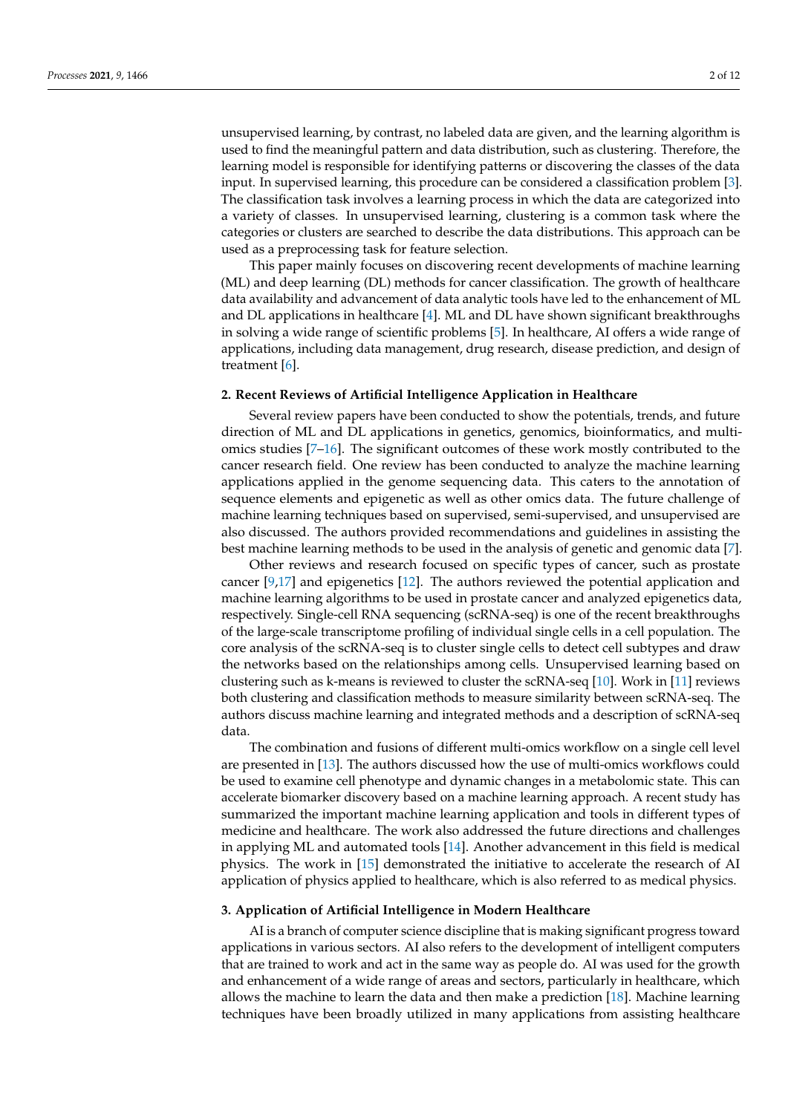unsupervised learning, by contrast, no labeled data are given, and the learning algorithm is used to find the meaningful pattern and data distribution, such as clustering. Therefore, the learning model is responsible for identifying patterns or discovering the classes of the data input. In supervised learning, this procedure can be considered a classification problem [\[3\]](#page-9-2). The classification task involves a learning process in which the data are categorized into a variety of classes. In unsupervised learning, clustering is a common task where the categories or clusters are searched to describe the data distributions. This approach can be used as a preprocessing task for feature selection.

This paper mainly focuses on discovering recent developments of machine learning (ML) and deep learning (DL) methods for cancer classification. The growth of healthcare data availability and advancement of data analytic tools have led to the enhancement of ML and DL applications in healthcare  $[4]$ . ML and DL have shown significant breakthroughs in solving a wide range of scientific problems [\[5\]](#page-9-4). In healthcare, AI offers a wide range of applications, including data management, drug research, disease prediction, and design of treatment [\[6\]](#page-9-5).

## **2. Recent Reviews of Artificial Intelligence Application in Healthcare**

Several review papers have been conducted to show the potentials, trends, and future direction of ML and DL applications in genetics, genomics, bioinformatics, and multiomics studies [\[7–](#page-9-6)[16\]](#page-10-0). The significant outcomes of these work mostly contributed to the cancer research field. One review has been conducted to analyze the machine learning applications applied in the genome sequencing data. This caters to the annotation of sequence elements and epigenetic as well as other omics data. The future challenge of machine learning techniques based on supervised, semi-supervised, and unsupervised are also discussed. The authors provided recommendations and guidelines in assisting the best machine learning methods to be used in the analysis of genetic and genomic data [\[7\]](#page-9-6).

Other reviews and research focused on specific types of cancer, such as prostate cancer [\[9,](#page-9-7)[17\]](#page-10-1) and epigenetics [\[12\]](#page-9-8). The authors reviewed the potential application and machine learning algorithms to be used in prostate cancer and analyzed epigenetics data, respectively. Single-cell RNA sequencing (scRNA-seq) is one of the recent breakthroughs of the large-scale transcriptome profiling of individual single cells in a cell population. The core analysis of the scRNA-seq is to cluster single cells to detect cell subtypes and draw the networks based on the relationships among cells. Unsupervised learning based on clustering such as k-means is reviewed to cluster the scRNA-seq [\[10\]](#page-9-9). Work in [\[11\]](#page-9-10) reviews both clustering and classification methods to measure similarity between scRNA-seq. The authors discuss machine learning and integrated methods and a description of scRNA-seq data.

The combination and fusions of different multi-omics workflow on a single cell level are presented in [\[13\]](#page-10-2). The authors discussed how the use of multi-omics workflows could be used to examine cell phenotype and dynamic changes in a metabolomic state. This can accelerate biomarker discovery based on a machine learning approach. A recent study has summarized the important machine learning application and tools in different types of medicine and healthcare. The work also addressed the future directions and challenges in applying ML and automated tools [\[14\]](#page-10-3). Another advancement in this field is medical physics. The work in [\[15\]](#page-10-4) demonstrated the initiative to accelerate the research of AI application of physics applied to healthcare, which is also referred to as medical physics.

## **3. Application of Artificial Intelligence in Modern Healthcare**

AI is a branch of computer science discipline that is making significant progress toward applications in various sectors. AI also refers to the development of intelligent computers that are trained to work and act in the same way as people do. AI was used for the growth and enhancement of a wide range of areas and sectors, particularly in healthcare, which allows the machine to learn the data and then make a prediction [\[18\]](#page-10-5). Machine learning techniques have been broadly utilized in many applications from assisting healthcare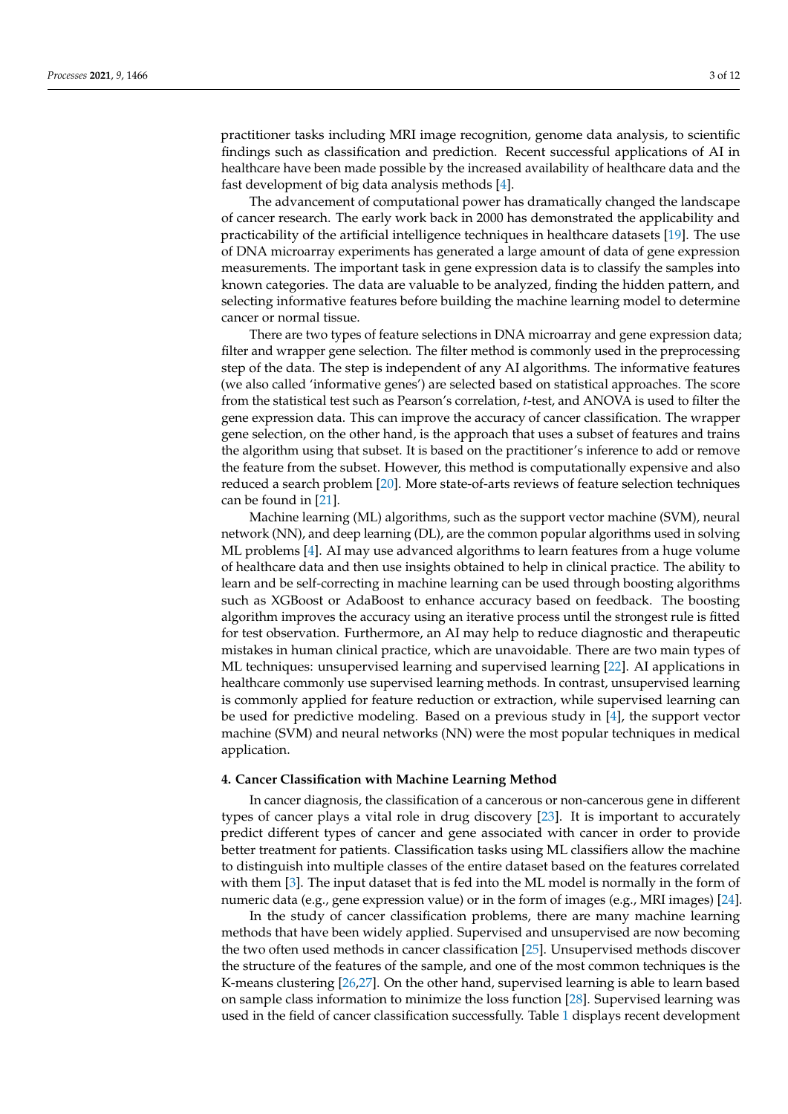practitioner tasks including MRI image recognition, genome data analysis, to scientific findings such as classification and prediction. Recent successful applications of AI in healthcare have been made possible by the increased availability of healthcare data and the fast development of big data analysis methods [\[4\]](#page-9-3).

The advancement of computational power has dramatically changed the landscape of cancer research. The early work back in 2000 has demonstrated the applicability and practicability of the artificial intelligence techniques in healthcare datasets [\[19\]](#page-10-6). The use of DNA microarray experiments has generated a large amount of data of gene expression measurements. The important task in gene expression data is to classify the samples into known categories. The data are valuable to be analyzed, finding the hidden pattern, and selecting informative features before building the machine learning model to determine cancer or normal tissue.

There are two types of feature selections in DNA microarray and gene expression data; filter and wrapper gene selection. The filter method is commonly used in the preprocessing step of the data. The step is independent of any AI algorithms. The informative features (we also called 'informative genes') are selected based on statistical approaches. The score from the statistical test such as Pearson's correlation, *t*-test, and ANOVA is used to filter the gene expression data. This can improve the accuracy of cancer classification. The wrapper gene selection, on the other hand, is the approach that uses a subset of features and trains the algorithm using that subset. It is based on the practitioner's inference to add or remove the feature from the subset. However, this method is computationally expensive and also reduced a search problem [\[20\]](#page-10-7). More state-of-arts reviews of feature selection techniques can be found in [\[21\]](#page-10-8).

Machine learning (ML) algorithms, such as the support vector machine (SVM), neural network (NN), and deep learning (DL), are the common popular algorithms used in solving ML problems [\[4\]](#page-9-3). AI may use advanced algorithms to learn features from a huge volume of healthcare data and then use insights obtained to help in clinical practice. The ability to learn and be self-correcting in machine learning can be used through boosting algorithms such as XGBoost or AdaBoost to enhance accuracy based on feedback. The boosting algorithm improves the accuracy using an iterative process until the strongest rule is fitted for test observation. Furthermore, an AI may help to reduce diagnostic and therapeutic mistakes in human clinical practice, which are unavoidable. There are two main types of ML techniques: unsupervised learning and supervised learning [\[22\]](#page-10-9). AI applications in healthcare commonly use supervised learning methods. In contrast, unsupervised learning is commonly applied for feature reduction or extraction, while supervised learning can be used for predictive modeling. Based on a previous study in [\[4\]](#page-9-3), the support vector machine (SVM) and neural networks (NN) were the most popular techniques in medical application.

## **4. Cancer Classification with Machine Learning Method**

In cancer diagnosis, the classification of a cancerous or non-cancerous gene in different types of cancer plays a vital role in drug discovery [\[23\]](#page-10-10). It is important to accurately predict different types of cancer and gene associated with cancer in order to provide better treatment for patients. Classification tasks using ML classifiers allow the machine to distinguish into multiple classes of the entire dataset based on the features correlated with them [\[3\]](#page-9-2). The input dataset that is fed into the ML model is normally in the form of numeric data (e.g., gene expression value) or in the form of images (e.g., MRI images) [\[24\]](#page-10-11).

In the study of cancer classification problems, there are many machine learning methods that have been widely applied. Supervised and unsupervised are now becoming the two often used methods in cancer classification [\[25\]](#page-10-12). Unsupervised methods discover the structure of the features of the sample, and one of the most common techniques is the K-means clustering [\[26](#page-10-13)[,27\]](#page-10-14). On the other hand, supervised learning is able to learn based on sample class information to minimize the loss function [\[28\]](#page-10-15). Supervised learning was used in the field of cancer classification successfully. Table [1](#page-3-0) displays recent development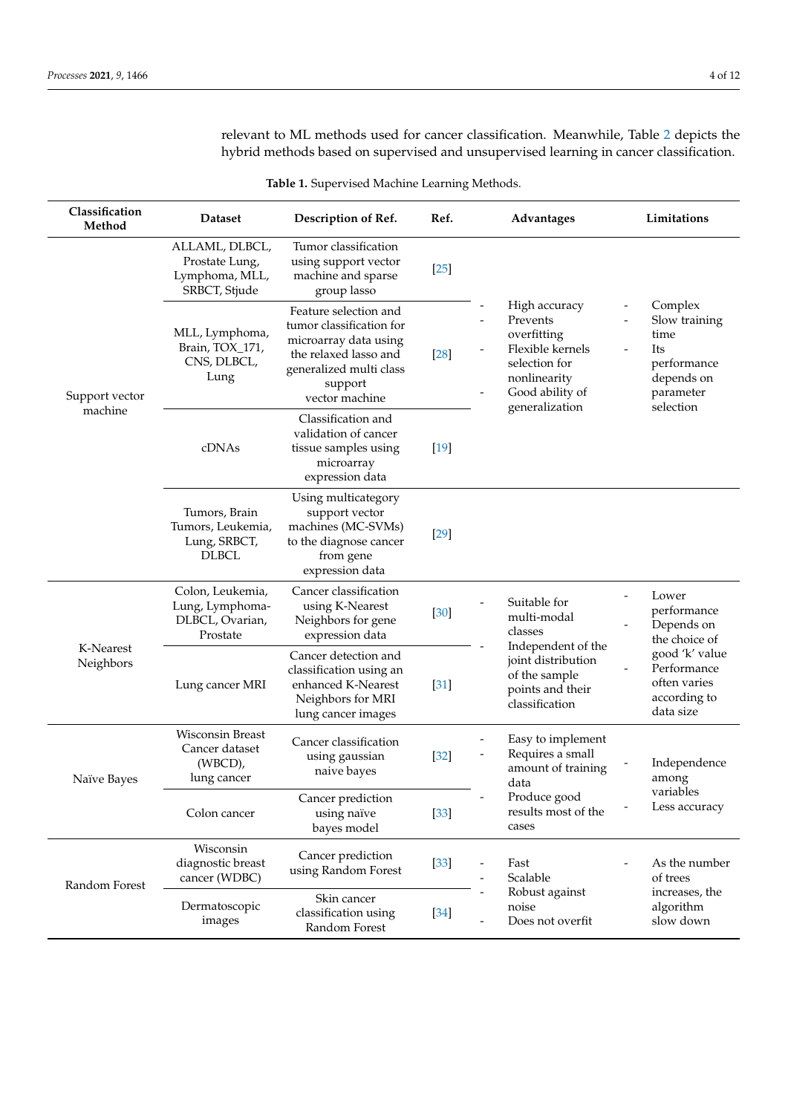relevant to ML methods used for cancer classification. Meanwhile, Table [2](#page-4-0) depicts the hybrid methods based on supervised and unsupervised learning in cancer classification.

<span id="page-3-0"></span>

| Classification<br>Method  | <b>Dataset</b>                                                      | Description of Ref.                                                                                                                                         | Ref.   | Advantages                                                                                                                         | Limitations                                                                                    |
|---------------------------|---------------------------------------------------------------------|-------------------------------------------------------------------------------------------------------------------------------------------------------------|--------|------------------------------------------------------------------------------------------------------------------------------------|------------------------------------------------------------------------------------------------|
| Support vector<br>machine | ALLAML, DLBCL,<br>Prostate Lung,<br>Lymphoma, MLL,<br>SRBCT, Stjude | Tumor classification<br>using support vector<br>machine and sparse<br>group lasso                                                                           | $[25]$ |                                                                                                                                    |                                                                                                |
|                           | MLL, Lymphoma,<br>Brain, TOX_171,<br>CNS, DLBCL,<br>Lung            | Feature selection and<br>tumor classification for<br>microarray data using<br>the relaxed lasso and<br>generalized multi class<br>support<br>vector machine |        | High accuracy<br>Prevents<br>overfitting<br>Flexible kernels<br>selection for<br>nonlinearity<br>Good ability of<br>generalization | Complex<br>Slow training<br>time<br>Its<br>performance<br>depends on<br>parameter<br>selection |
|                           | cDNAs                                                               | Classification and<br>validation of cancer<br>tissue samples using<br>microarray<br>expression data                                                         | $[19]$ |                                                                                                                                    |                                                                                                |
|                           | Tumors, Brain<br>Tumors, Leukemia,<br>Lung, SRBCT,<br><b>DLBCL</b>  | Using multicategory<br>support vector<br>machines (MC-SVMs)<br>to the diagnose cancer<br>from gene<br>expression data                                       | $[29]$ |                                                                                                                                    |                                                                                                |
| K-Nearest<br>Neighbors    | Colon, Leukemia,<br>Lung, Lymphoma-<br>DLBCL, Ovarian,<br>Prostate  | Cancer classification<br>using K-Nearest<br>Neighbors for gene<br>expression data                                                                           | $[30]$ | Suitable for<br>multi-modal<br>classes                                                                                             | Lower<br>$\overline{a}$<br>performance<br>Depends on<br>the choice of                          |
|                           | Lung cancer MRI                                                     | Cancer detection and<br>classification using an<br>enhanced K-Nearest<br>Neighbors for MRI<br>lung cancer images                                            | $[31]$ | Independent of the<br>joint distribution<br>of the sample<br>points and their<br>classification                                    | good 'k' value<br>Performance<br>often varies<br>according to<br>data size                     |
| Naïve Bayes               | <b>Wisconsin Breast</b><br>Cancer dataset<br>(WBCD),<br>lung cancer | Cancer classification<br>using gaussian<br>naive bayes                                                                                                      | $[32]$ | Easy to implement<br>Requires a small<br>amount of training<br>data                                                                | Independence<br>among                                                                          |
|                           | Colon cancer                                                        | Cancer prediction<br>using naïve<br>bayes model                                                                                                             | $[33]$ | Produce good<br>results most of the<br>cases                                                                                       | variables<br>Less accuracy                                                                     |
| Random Forest             | Wisconsin<br>diagnostic breast<br>cancer (WDBC)                     | Cancer prediction<br>using Random Forest                                                                                                                    | $[33]$ | Fast<br>Scalable                                                                                                                   | As the number<br>of trees                                                                      |
|                           | Dermatoscopic<br>images                                             | Skin cancer<br>classification using<br>Random Forest                                                                                                        | $[34]$ | Robust against<br>noise<br>Does not overfit                                                                                        | increases, the<br>algorithm<br>slow down                                                       |

**Table 1.** Supervised Machine Learning Methods.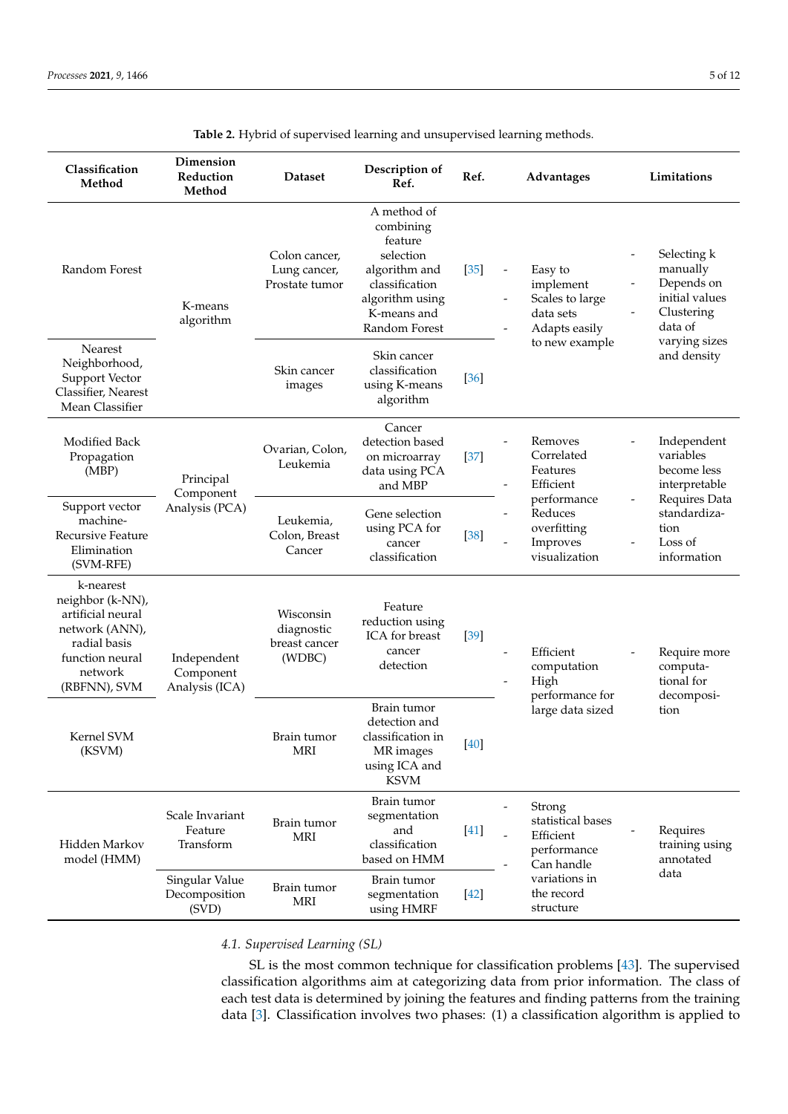<span id="page-4-0"></span>

| Classification<br>Method                                                                                                           | Dimension<br>Reduction<br>Method           | <b>Dataset</b>                                     | Description of<br>Ref.                                                                                                                 | Ref.   |                                          | Advantages                                                                                                           | Limitations                                                                                                                 |
|------------------------------------------------------------------------------------------------------------------------------------|--------------------------------------------|----------------------------------------------------|----------------------------------------------------------------------------------------------------------------------------------------|--------|------------------------------------------|----------------------------------------------------------------------------------------------------------------------|-----------------------------------------------------------------------------------------------------------------------------|
| Random Forest                                                                                                                      | K-means<br>algorithm                       | Colon cancer,<br>Lung cancer,<br>Prostate tumor    | A method of<br>combining<br>feature<br>selection<br>algorithm and<br>classification<br>algorithm using<br>K-means and<br>Random Forest | $[35]$ | $\qquad \qquad \blacksquare$             | Easy to<br>implement<br>Scales to large<br>data sets<br>Adapts easily<br>to new example                              | Selecting k<br>manually<br>Depends on<br>$\overline{\phantom{a}}$<br>initial values<br>Clustering<br>data of                |
| Nearest<br>Neighborhood,<br>Support Vector<br>Classifier, Nearest<br>Mean Classifier                                               |                                            | Skin cancer<br>images                              | Skin cancer<br>classification<br>using K-means<br>algorithm                                                                            | $[36]$ |                                          |                                                                                                                      | varying sizes<br>and density                                                                                                |
| Modified Back<br>Propagation<br>(MBP)                                                                                              | Principal<br>Component<br>Analysis (PCA)   | Ovarian, Colon,<br>Leukemia                        | Cancer<br>detection based<br>on microarray<br>data using PCA<br>and MBP                                                                | $[37]$ |                                          | Removes<br>Correlated<br>Features<br>Efficient<br>performance<br>Reduces<br>overfitting<br>Improves<br>visualization | Independent<br>variables<br>become less<br>interpretable<br>Requires Data<br>standardiza-<br>tion<br>Loss of<br>information |
| Support vector<br>machine-<br><b>Recursive Feature</b><br>Elimination<br>(SVM-RFE)                                                 |                                            | Leukemia,<br>Colon, Breast<br>Cancer               | Gene selection<br>using PCA for<br>cancer<br>classification                                                                            | $[38]$ |                                          |                                                                                                                      |                                                                                                                             |
| k-nearest<br>neighbor (k-NN),<br>artificial neural<br>network (ANN),<br>radial basis<br>function neural<br>network<br>(RBFNN), SVM | Independent<br>Component<br>Analysis (ICA) | Wisconsin<br>diagnostic<br>breast cancer<br>(WDBC) | Feature<br>reduction using<br>ICA for breast<br>cancer<br>detection                                                                    | $[39]$ | High<br>$\overline{\phantom{a}}$         | Efficient<br>computation<br>performance for                                                                          | Require more<br>computa-<br>tional for<br>decomposi-                                                                        |
| Kernel SVM<br>(KSVM)                                                                                                               |                                            | Brain tumor<br>MRI                                 | Brain tumor<br>detection and<br>classification in<br>MR images<br>using ICA and<br><b>KSVM</b>                                         | [40]   |                                          | large data sized                                                                                                     | tion                                                                                                                        |
| Hidden Markov<br>model (HMM)                                                                                                       | Scale Invariant<br>Feature<br>Transform    | Brain tumor<br><b>MRI</b>                          | Brain tumor<br>segmentation<br>and<br>classification<br>based on HMM                                                                   | $[41]$ |                                          | Strong<br>statistical bases<br>Efficient<br>performance<br>Can handle                                                | Requires<br>training using<br>annotated                                                                                     |
|                                                                                                                                    | Singular Value<br>Decomposition<br>(SVD)   | Brain tumor<br><b>MRI</b>                          | Brain tumor<br>segmentation<br>using HMRF                                                                                              | $[42]$ | variations in<br>the record<br>structure | data                                                                                                                 |                                                                                                                             |

**Table 2.** Hybrid of supervised learning and unsupervised learning methods.

## *4.1. Supervised Learning (SL)*

SL is the most common technique for classification problems [\[43\]](#page-11-1). The supervised classification algorithms aim at categorizing data from prior information. The class of each test data is determined by joining the features and finding patterns from the training data [\[3\]](#page-9-2). Classification involves two phases: (1) a classification algorithm is applied to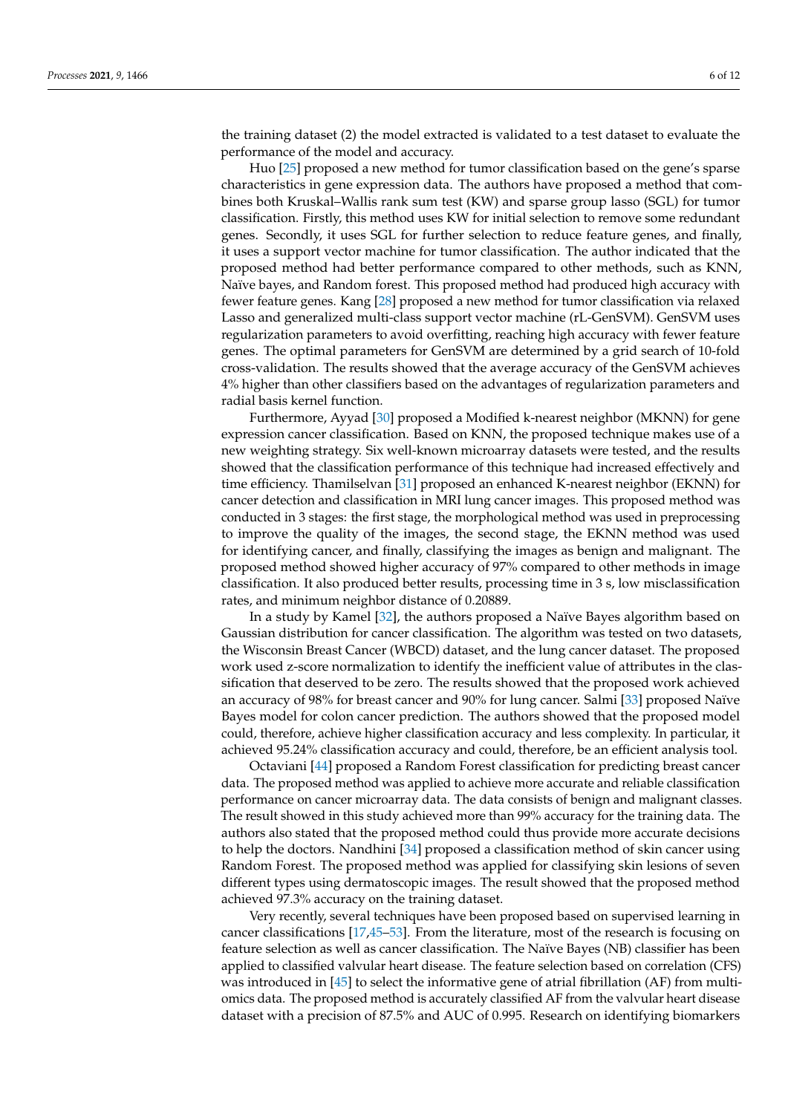the training dataset (2) the model extracted is validated to a test dataset to evaluate the performance of the model and accuracy.

Huo [\[25\]](#page-10-12) proposed a new method for tumor classification based on the gene's sparse characteristics in gene expression data. The authors have proposed a method that combines both Kruskal–Wallis rank sum test (KW) and sparse group lasso (SGL) for tumor classification. Firstly, this method uses KW for initial selection to remove some redundant genes. Secondly, it uses SGL for further selection to reduce feature genes, and finally, it uses a support vector machine for tumor classification. The author indicated that the proposed method had better performance compared to other methods, such as KNN, Naïve bayes, and Random forest. This proposed method had produced high accuracy with fewer feature genes. Kang [\[28\]](#page-10-15) proposed a new method for tumor classification via relaxed Lasso and generalized multi-class support vector machine (rL-GenSVM). GenSVM uses regularization parameters to avoid overfitting, reaching high accuracy with fewer feature genes. The optimal parameters for GenSVM are determined by a grid search of 10-fold cross-validation. The results showed that the average accuracy of the GenSVM achieves 4% higher than other classifiers based on the advantages of regularization parameters and radial basis kernel function.

Furthermore, Ayyad [\[30\]](#page-10-17) proposed a Modified k-nearest neighbor (MKNN) for gene expression cancer classification. Based on KNN, the proposed technique makes use of a new weighting strategy. Six well-known microarray datasets were tested, and the results showed that the classification performance of this technique had increased effectively and time efficiency. Thamilselvan [\[31\]](#page-10-18) proposed an enhanced K-nearest neighbor (EKNN) for cancer detection and classification in MRI lung cancer images. This proposed method was conducted in 3 stages: the first stage, the morphological method was used in preprocessing to improve the quality of the images, the second stage, the EKNN method was used for identifying cancer, and finally, classifying the images as benign and malignant. The proposed method showed higher accuracy of 97% compared to other methods in image classification. It also produced better results, processing time in 3 s, low misclassification rates, and minimum neighbor distance of 0.20889.

In a study by Kamel [\[32\]](#page-10-19), the authors proposed a Naïve Bayes algorithm based on Gaussian distribution for cancer classification. The algorithm was tested on two datasets, the Wisconsin Breast Cancer (WBCD) dataset, and the lung cancer dataset. The proposed work used z-score normalization to identify the inefficient value of attributes in the classification that deserved to be zero. The results showed that the proposed work achieved an accuracy of 98% for breast cancer and 90% for lung cancer. Salmi [\[33\]](#page-10-20) proposed Naïve Bayes model for colon cancer prediction. The authors showed that the proposed model could, therefore, achieve higher classification accuracy and less complexity. In particular, it achieved 95.24% classification accuracy and could, therefore, be an efficient analysis tool.

Octaviani [\[44\]](#page-11-2) proposed a Random Forest classification for predicting breast cancer data. The proposed method was applied to achieve more accurate and reliable classification performance on cancer microarray data. The data consists of benign and malignant classes. The result showed in this study achieved more than 99% accuracy for the training data. The authors also stated that the proposed method could thus provide more accurate decisions to help the doctors. Nandhini [\[34\]](#page-10-21) proposed a classification method of skin cancer using Random Forest. The proposed method was applied for classifying skin lesions of seven different types using dermatoscopic images. The result showed that the proposed method achieved 97.3% accuracy on the training dataset.

Very recently, several techniques have been proposed based on supervised learning in cancer classifications [\[17](#page-10-1)[,45](#page-11-3)[–53\]](#page-11-4). From the literature, most of the research is focusing on feature selection as well as cancer classification. The Naïve Bayes (NB) classifier has been applied to classified valvular heart disease. The feature selection based on correlation (CFS) was introduced in [\[45\]](#page-11-3) to select the informative gene of atrial fibrillation (AF) from multiomics data. The proposed method is accurately classified AF from the valvular heart disease dataset with a precision of 87.5% and AUC of 0.995. Research on identifying biomarkers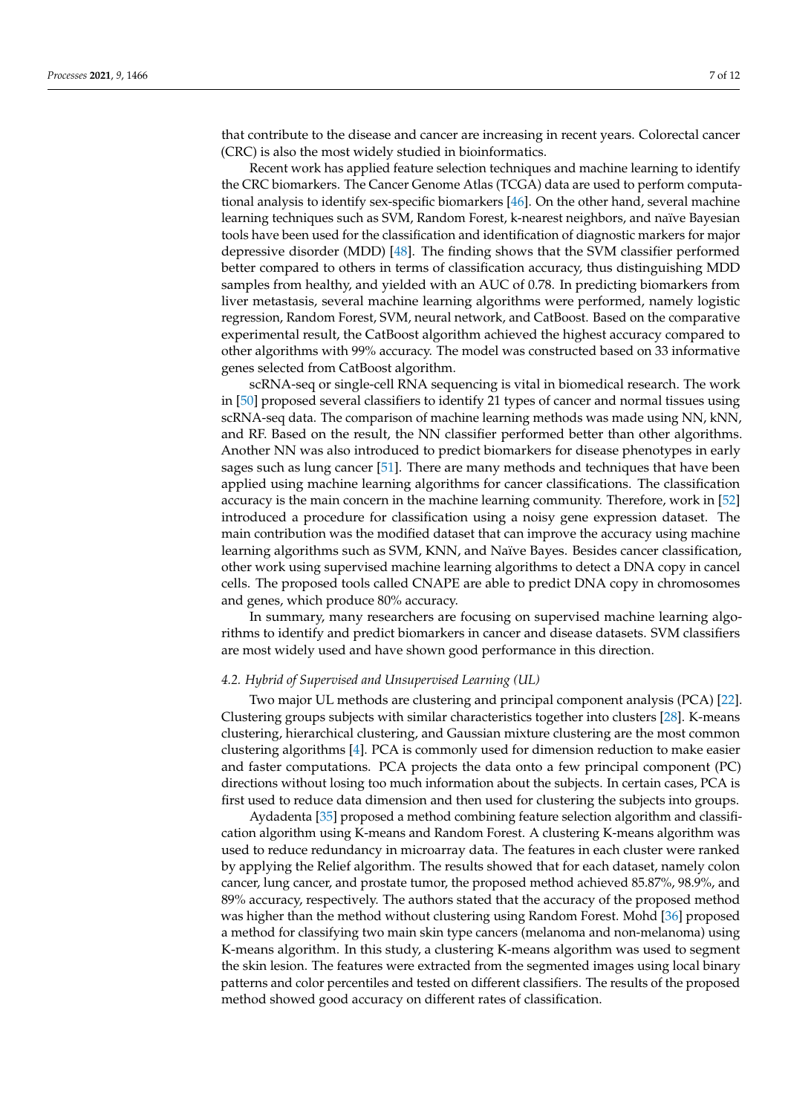that contribute to the disease and cancer are increasing in recent years. Colorectal cancer (CRC) is also the most widely studied in bioinformatics.

Recent work has applied feature selection techniques and machine learning to identify the CRC biomarkers. The Cancer Genome Atlas (TCGA) data are used to perform computational analysis to identify sex-specific biomarkers [\[46\]](#page-11-5). On the other hand, several machine learning techniques such as SVM, Random Forest, k-nearest neighbors, and naïve Bayesian tools have been used for the classification and identification of diagnostic markers for major depressive disorder (MDD) [\[48\]](#page-11-6). The finding shows that the SVM classifier performed better compared to others in terms of classification accuracy, thus distinguishing MDD samples from healthy, and yielded with an AUC of 0.78. In predicting biomarkers from liver metastasis, several machine learning algorithms were performed, namely logistic regression, Random Forest, SVM, neural network, and CatBoost. Based on the comparative experimental result, the CatBoost algorithm achieved the highest accuracy compared to other algorithms with 99% accuracy. The model was constructed based on 33 informative genes selected from CatBoost algorithm.

scRNA-seq or single-cell RNA sequencing is vital in biomedical research. The work in [\[50\]](#page-11-7) proposed several classifiers to identify 21 types of cancer and normal tissues using scRNA-seq data. The comparison of machine learning methods was made using NN, kNN, and RF. Based on the result, the NN classifier performed better than other algorithms. Another NN was also introduced to predict biomarkers for disease phenotypes in early sages such as lung cancer [\[51\]](#page-11-8). There are many methods and techniques that have been applied using machine learning algorithms for cancer classifications. The classification accuracy is the main concern in the machine learning community. Therefore, work in [\[52\]](#page-11-9) introduced a procedure for classification using a noisy gene expression dataset. The main contribution was the modified dataset that can improve the accuracy using machine learning algorithms such as SVM, KNN, and Naïve Bayes. Besides cancer classification, other work using supervised machine learning algorithms to detect a DNA copy in cancel cells. The proposed tools called CNAPE are able to predict DNA copy in chromosomes and genes, which produce 80% accuracy.

In summary, many researchers are focusing on supervised machine learning algorithms to identify and predict biomarkers in cancer and disease datasets. SVM classifiers are most widely used and have shown good performance in this direction.

#### *4.2. Hybrid of Supervised and Unsupervised Learning (UL)*

Two major UL methods are clustering and principal component analysis (PCA) [\[22\]](#page-10-9). Clustering groups subjects with similar characteristics together into clusters [\[28\]](#page-10-15). K-means clustering, hierarchical clustering, and Gaussian mixture clustering are the most common clustering algorithms [\[4\]](#page-9-3). PCA is commonly used for dimension reduction to make easier and faster computations. PCA projects the data onto a few principal component (PC) directions without losing too much information about the subjects. In certain cases, PCA is first used to reduce data dimension and then used for clustering the subjects into groups.

Aydadenta [\[35\]](#page-10-22) proposed a method combining feature selection algorithm and classification algorithm using K-means and Random Forest. A clustering K-means algorithm was used to reduce redundancy in microarray data. The features in each cluster were ranked by applying the Relief algorithm. The results showed that for each dataset, namely colon cancer, lung cancer, and prostate tumor, the proposed method achieved 85.87%, 98.9%, and 89% accuracy, respectively. The authors stated that the accuracy of the proposed method was higher than the method without clustering using Random Forest. Mohd [\[36\]](#page-10-23) proposed a method for classifying two main skin type cancers (melanoma and non-melanoma) using K-means algorithm. In this study, a clustering K-means algorithm was used to segment the skin lesion. The features were extracted from the segmented images using local binary patterns and color percentiles and tested on different classifiers. The results of the proposed method showed good accuracy on different rates of classification.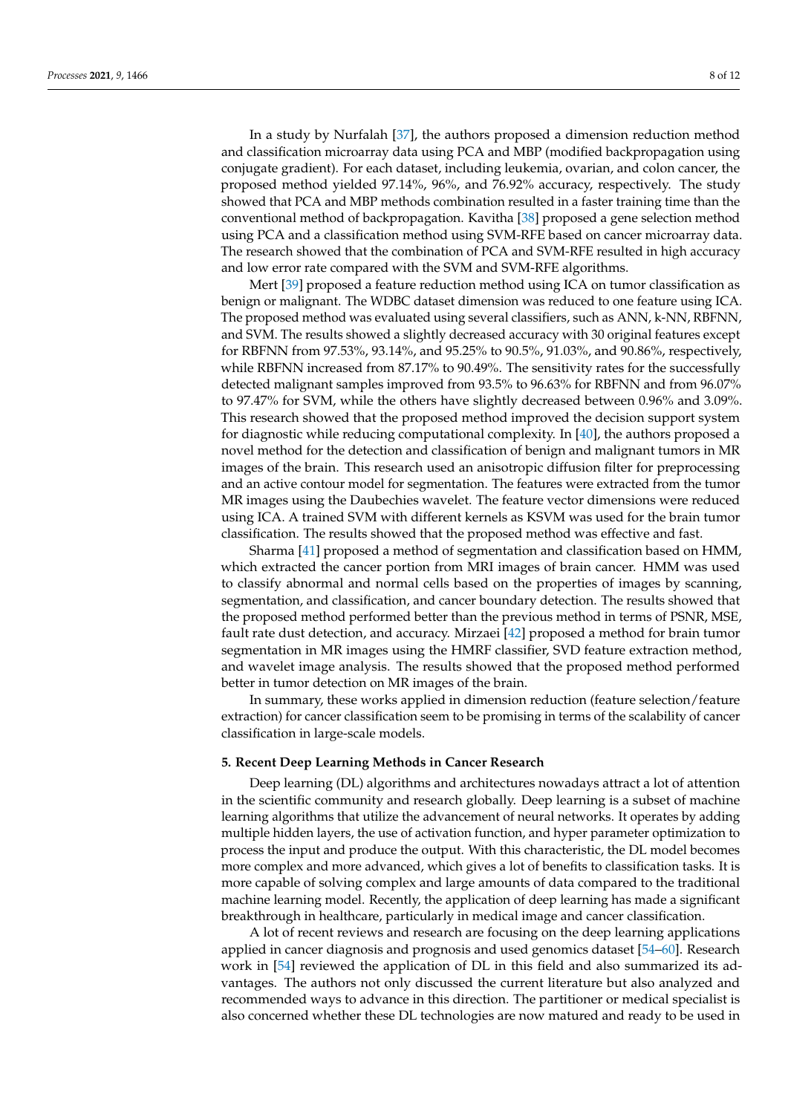In a study by Nurfalah [\[37\]](#page-10-24), the authors proposed a dimension reduction method and classification microarray data using PCA and MBP (modified backpropagation using conjugate gradient). For each dataset, including leukemia, ovarian, and colon cancer, the proposed method yielded 97.14%, 96%, and 76.92% accuracy, respectively. The study showed that PCA and MBP methods combination resulted in a faster training time than the conventional method of backpropagation. Kavitha [\[38\]](#page-10-25) proposed a gene selection method using PCA and a classification method using SVM-RFE based on cancer microarray data. The research showed that the combination of PCA and SVM-RFE resulted in high accuracy and low error rate compared with the SVM and SVM-RFE algorithms.

Mert [\[39\]](#page-10-26) proposed a feature reduction method using ICA on tumor classification as benign or malignant. The WDBC dataset dimension was reduced to one feature using ICA. The proposed method was evaluated using several classifiers, such as ANN, k-NN, RBFNN, and SVM. The results showed a slightly decreased accuracy with 30 original features except for RBFNN from 97.53%, 93.14%, and 95.25% to 90.5%, 91.03%, and 90.86%, respectively, while RBFNN increased from 87.17% to 90.49%. The sensitivity rates for the successfully detected malignant samples improved from 93.5% to 96.63% for RBFNN and from 96.07% to 97.47% for SVM, while the others have slightly decreased between 0.96% and 3.09%. This research showed that the proposed method improved the decision support system for diagnostic while reducing computational complexity. In [\[40\]](#page-10-27), the authors proposed a novel method for the detection and classification of benign and malignant tumors in MR images of the brain. This research used an anisotropic diffusion filter for preprocessing and an active contour model for segmentation. The features were extracted from the tumor MR images using the Daubechies wavelet. The feature vector dimensions were reduced using ICA. A trained SVM with different kernels as KSVM was used for the brain tumor classification. The results showed that the proposed method was effective and fast.

Sharma [\[41\]](#page-10-28) proposed a method of segmentation and classification based on HMM, which extracted the cancer portion from MRI images of brain cancer. HMM was used to classify abnormal and normal cells based on the properties of images by scanning, segmentation, and classification, and cancer boundary detection. The results showed that the proposed method performed better than the previous method in terms of PSNR, MSE, fault rate dust detection, and accuracy. Mirzaei [\[42\]](#page-11-0) proposed a method for brain tumor segmentation in MR images using the HMRF classifier, SVD feature extraction method, and wavelet image analysis. The results showed that the proposed method performed better in tumor detection on MR images of the brain.

In summary, these works applied in dimension reduction (feature selection/feature extraction) for cancer classification seem to be promising in terms of the scalability of cancer classification in large-scale models.

#### **5. Recent Deep Learning Methods in Cancer Research**

Deep learning (DL) algorithms and architectures nowadays attract a lot of attention in the scientific community and research globally. Deep learning is a subset of machine learning algorithms that utilize the advancement of neural networks. It operates by adding multiple hidden layers, the use of activation function, and hyper parameter optimization to process the input and produce the output. With this characteristic, the DL model becomes more complex and more advanced, which gives a lot of benefits to classification tasks. It is more capable of solving complex and large amounts of data compared to the traditional machine learning model. Recently, the application of deep learning has made a significant breakthrough in healthcare, particularly in medical image and cancer classification.

A lot of recent reviews and research are focusing on the deep learning applications applied in cancer diagnosis and prognosis and used genomics dataset [\[54](#page-11-10)[–60\]](#page-11-11). Research work in [\[54\]](#page-11-10) reviewed the application of DL in this field and also summarized its advantages. The authors not only discussed the current literature but also analyzed and recommended ways to advance in this direction. The partitioner or medical specialist is also concerned whether these DL technologies are now matured and ready to be used in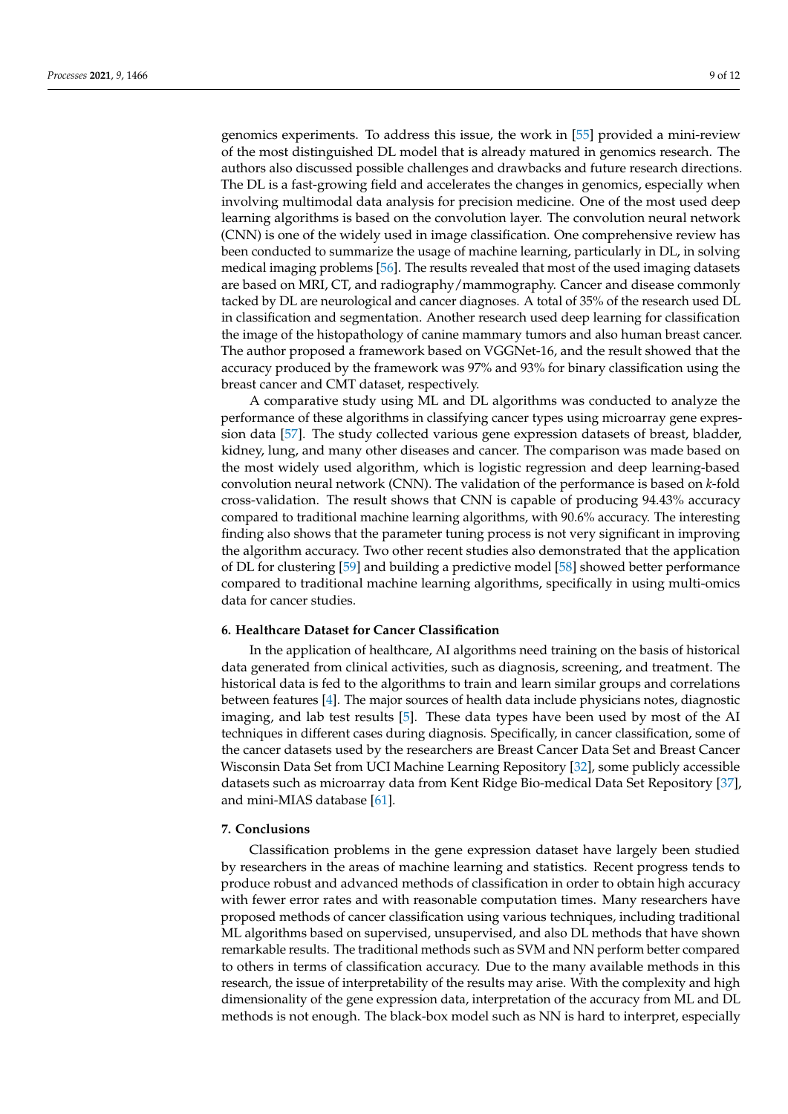genomics experiments. To address this issue, the work in [\[55\]](#page-11-12) provided a mini-review of the most distinguished DL model that is already matured in genomics research. The authors also discussed possible challenges and drawbacks and future research directions. The DL is a fast-growing field and accelerates the changes in genomics, especially when involving multimodal data analysis for precision medicine. One of the most used deep learning algorithms is based on the convolution layer. The convolution neural network (CNN) is one of the widely used in image classification. One comprehensive review has been conducted to summarize the usage of machine learning, particularly in DL, in solving medical imaging problems [\[56\]](#page-11-13). The results revealed that most of the used imaging datasets are based on MRI, CT, and radiography/mammography. Cancer and disease commonly tacked by DL are neurological and cancer diagnoses. A total of 35% of the research used DL in classification and segmentation. Another research used deep learning for classification the image of the histopathology of canine mammary tumors and also human breast cancer. The author proposed a framework based on VGGNet-16, and the result showed that the accuracy produced by the framework was 97% and 93% for binary classification using the breast cancer and CMT dataset, respectively.

A comparative study using ML and DL algorithms was conducted to analyze the performance of these algorithms in classifying cancer types using microarray gene expression data [\[57\]](#page-11-14). The study collected various gene expression datasets of breast, bladder, kidney, lung, and many other diseases and cancer. The comparison was made based on the most widely used algorithm, which is logistic regression and deep learning-based convolution neural network (CNN). The validation of the performance is based on *k*-fold cross-validation. The result shows that CNN is capable of producing 94.43% accuracy compared to traditional machine learning algorithms, with 90.6% accuracy. The interesting finding also shows that the parameter tuning process is not very significant in improving the algorithm accuracy. Two other recent studies also demonstrated that the application of DL for clustering [\[59\]](#page-11-15) and building a predictive model [\[58\]](#page-11-16) showed better performance compared to traditional machine learning algorithms, specifically in using multi-omics data for cancer studies.

## **6. Healthcare Dataset for Cancer Classification**

In the application of healthcare, AI algorithms need training on the basis of historical data generated from clinical activities, such as diagnosis, screening, and treatment. The historical data is fed to the algorithms to train and learn similar groups and correlations between features [\[4\]](#page-9-3). The major sources of health data include physicians notes, diagnostic imaging, and lab test results [\[5\]](#page-9-4). These data types have been used by most of the AI techniques in different cases during diagnosis. Specifically, in cancer classification, some of the cancer datasets used by the researchers are Breast Cancer Data Set and Breast Cancer Wisconsin Data Set from UCI Machine Learning Repository [\[32\]](#page-10-19), some publicly accessible datasets such as microarray data from Kent Ridge Bio-medical Data Set Repository [\[37\]](#page-10-24), and mini-MIAS database [\[61\]](#page-11-17).

## **7. Conclusions**

Classification problems in the gene expression dataset have largely been studied by researchers in the areas of machine learning and statistics. Recent progress tends to produce robust and advanced methods of classification in order to obtain high accuracy with fewer error rates and with reasonable computation times. Many researchers have proposed methods of cancer classification using various techniques, including traditional ML algorithms based on supervised, unsupervised, and also DL methods that have shown remarkable results. The traditional methods such as SVM and NN perform better compared to others in terms of classification accuracy. Due to the many available methods in this research, the issue of interpretability of the results may arise. With the complexity and high dimensionality of the gene expression data, interpretation of the accuracy from ML and DL methods is not enough. The black-box model such as NN is hard to interpret, especially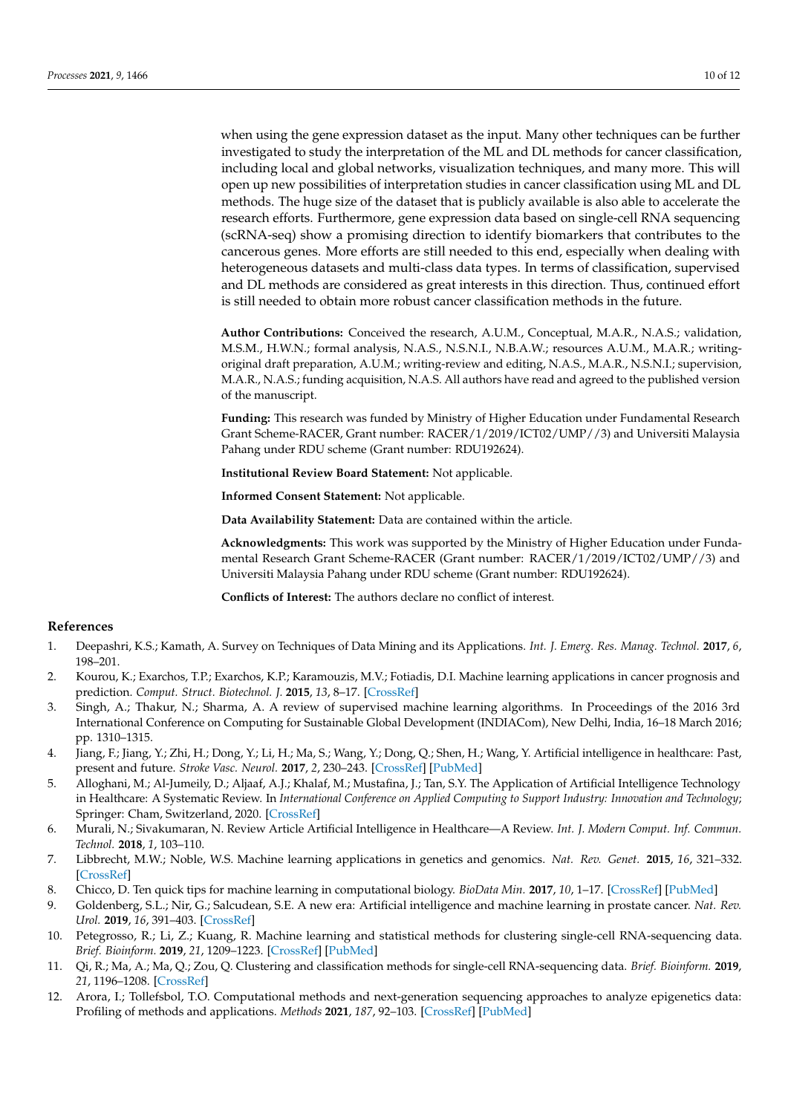when using the gene expression dataset as the input. Many other techniques can be further investigated to study the interpretation of the ML and DL methods for cancer classification, including local and global networks, visualization techniques, and many more. This will open up new possibilities of interpretation studies in cancer classification using ML and DL methods. The huge size of the dataset that is publicly available is also able to accelerate the research efforts. Furthermore, gene expression data based on single-cell RNA sequencing (scRNA-seq) show a promising direction to identify biomarkers that contributes to the cancerous genes. More efforts are still needed to this end, especially when dealing with heterogeneous datasets and multi-class data types. In terms of classification, supervised and DL methods are considered as great interests in this direction. Thus, continued effort is still needed to obtain more robust cancer classification methods in the future.

**Author Contributions:** Conceived the research, A.U.M., Conceptual, M.A.R., N.A.S.; validation, M.S.M., H.W.N.; formal analysis, N.A.S., N.S.N.I., N.B.A.W.; resources A.U.M., M.A.R.; writingoriginal draft preparation, A.U.M.; writing-review and editing, N.A.S., M.A.R., N.S.N.I.; supervision, M.A.R., N.A.S.; funding acquisition, N.A.S. All authors have read and agreed to the published version of the manuscript.

**Funding:** This research was funded by Ministry of Higher Education under Fundamental Research Grant Scheme-RACER, Grant number: RACER/1/2019/ICT02/UMP//3) and Universiti Malaysia Pahang under RDU scheme (Grant number: RDU192624).

**Institutional Review Board Statement:** Not applicable.

**Informed Consent Statement:** Not applicable.

**Data Availability Statement:** Data are contained within the article.

**Acknowledgments:** This work was supported by the Ministry of Higher Education under Fundamental Research Grant Scheme-RACER (Grant number: RACER/1/2019/ICT02/UMP//3) and Universiti Malaysia Pahang under RDU scheme (Grant number: RDU192624).

**Conflicts of Interest:** The authors declare no conflict of interest.

#### **References**

- <span id="page-9-0"></span>1. Deepashri, K.S.; Kamath, A. Survey on Techniques of Data Mining and its Applications. *Int. J. Emerg. Res. Manag. Technol.* **2017**, *6*, 198–201.
- <span id="page-9-1"></span>2. Kourou, K.; Exarchos, T.P.; Exarchos, K.P.; Karamouzis, M.V.; Fotiadis, D.I. Machine learning applications in cancer prognosis and prediction. *Comput. Struct. Biotechnol. J.* **2015**, *13*, 8–17. [\[CrossRef\]](http://doi.org/10.1016/j.csbj.2014.11.005)
- <span id="page-9-2"></span>3. Singh, A.; Thakur, N.; Sharma, A. A review of supervised machine learning algorithms. In Proceedings of the 2016 3rd International Conference on Computing for Sustainable Global Development (INDIACom), New Delhi, India, 16–18 March 2016; pp. 1310–1315.
- <span id="page-9-3"></span>4. Jiang, F.; Jiang, Y.; Zhi, H.; Dong, Y.; Li, H.; Ma, S.; Wang, Y.; Dong, Q.; Shen, H.; Wang, Y. Artificial intelligence in healthcare: Past, present and future. *Stroke Vasc. Neurol.* **2017**, *2*, 230–243. [\[CrossRef\]](http://doi.org/10.1136/svn-2017-000101) [\[PubMed\]](http://www.ncbi.nlm.nih.gov/pubmed/29507784)
- <span id="page-9-4"></span>5. Alloghani, M.; Al-Jumeily, D.; Aljaaf, A.J.; Khalaf, M.; Mustafina, J.; Tan, S.Y. The Application of Artificial Intelligence Technology in Healthcare: A Systematic Review. In *International Conference on Applied Computing to Support Industry: Innovation and Technology*; Springer: Cham, Switzerland, 2020. [\[CrossRef\]](http://doi.org/10.1007/978-3-030-38752-5_20)
- <span id="page-9-5"></span>6. Murali, N.; Sivakumaran, N. Review Article Artificial Intelligence in Healthcare—A Review. *Int. J. Modern Comput. Inf. Commun. Technol.* **2018**, *1*, 103–110.
- <span id="page-9-6"></span>7. Libbrecht, M.W.; Noble, W.S. Machine learning applications in genetics and genomics. *Nat. Rev. Genet.* **2015**, *16*, 321–332. [\[CrossRef\]](http://doi.org/10.1038/nrg3920)
- 8. Chicco, D. Ten quick tips for machine learning in computational biology. *BioData Min.* **2017**, *10*, 1–17. [\[CrossRef\]](http://doi.org/10.1186/s13040-017-0155-3) [\[PubMed\]](http://www.ncbi.nlm.nih.gov/pubmed/29234465)
- <span id="page-9-7"></span>9. Goldenberg, S.L.; Nir, G.; Salcudean, S.E. A new era: Artificial intelligence and machine learning in prostate cancer. *Nat. Rev. Urol.* **2019**, *16*, 391–403. [\[CrossRef\]](http://doi.org/10.1038/s41585-019-0193-3)
- <span id="page-9-9"></span>10. Petegrosso, R.; Li, Z.; Kuang, R. Machine learning and statistical methods for clustering single-cell RNA-sequencing data. *Brief. Bioinform.* **2019**, *21*, 1209–1223. [\[CrossRef\]](http://doi.org/10.1093/bib/bbz063) [\[PubMed\]](http://www.ncbi.nlm.nih.gov/pubmed/31243426)
- <span id="page-9-10"></span>11. Qi, R.; Ma, A.; Ma, Q.; Zou, Q. Clustering and classification methods for single-cell RNA-sequencing data. *Brief. Bioinform.* **2019**, *21*, 1196–1208. [\[CrossRef\]](http://doi.org/10.1093/bib/bbz062)
- <span id="page-9-8"></span>12. Arora, I.; Tollefsbol, T.O. Computational methods and next-generation sequencing approaches to analyze epigenetics data: Profiling of methods and applications. *Methods* **2021**, *187*, 92–103. [\[CrossRef\]](http://doi.org/10.1016/j.ymeth.2020.09.008) [\[PubMed\]](http://www.ncbi.nlm.nih.gov/pubmed/32941995)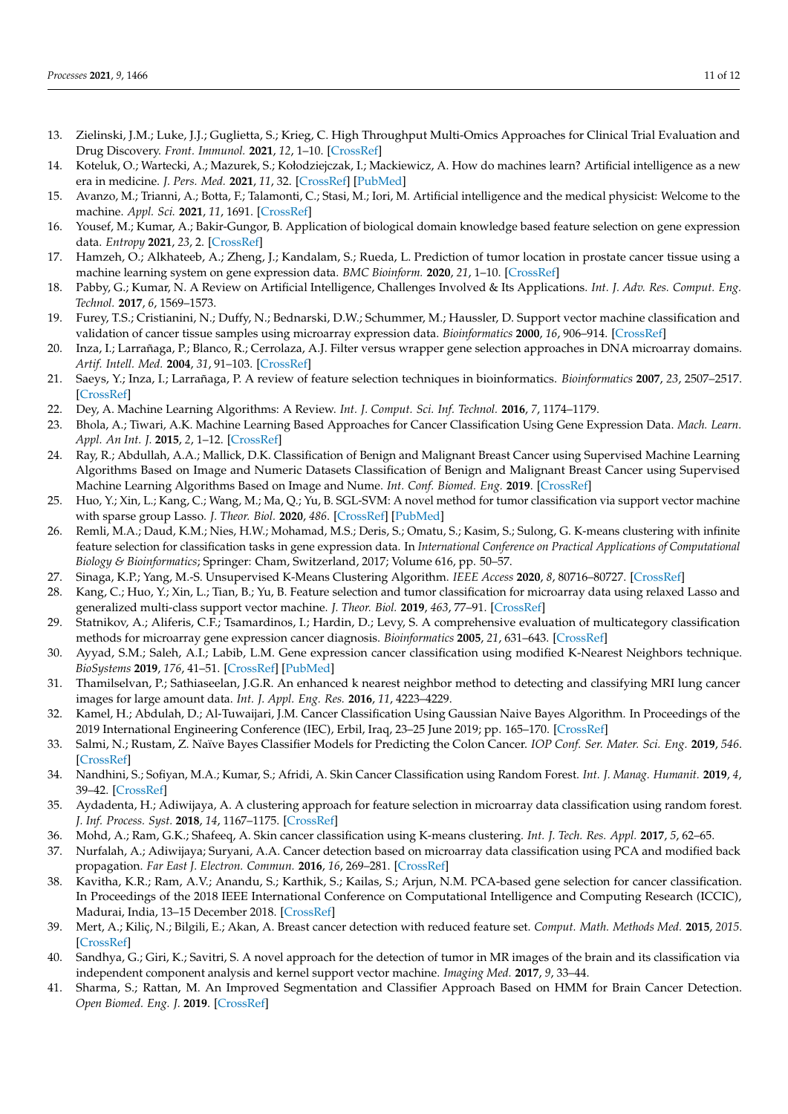- <span id="page-10-2"></span>13. Zielinski, J.M.; Luke, J.J.; Guglietta, S.; Krieg, C. High Throughput Multi-Omics Approaches for Clinical Trial Evaluation and Drug Discovery. *Front. Immunol.* **2021**, *12*, 1–10. [\[CrossRef\]](http://doi.org/10.3389/fimmu.2021.590742)
- <span id="page-10-3"></span>14. Koteluk, O.; Wartecki, A.; Mazurek, S.; Kołodziejczak, I.; Mackiewicz, A. How do machines learn? Artificial intelligence as a new era in medicine. *J. Pers. Med.* **2021**, *11*, 32. [\[CrossRef\]](http://doi.org/10.3390/jpm11010032) [\[PubMed\]](http://www.ncbi.nlm.nih.gov/pubmed/33430240)
- <span id="page-10-4"></span>15. Avanzo, M.; Trianni, A.; Botta, F.; Talamonti, C.; Stasi, M.; Iori, M. Artificial intelligence and the medical physicist: Welcome to the machine. *Appl. Sci.* **2021**, *11*, 1691. [\[CrossRef\]](http://doi.org/10.3390/app11041691)
- <span id="page-10-0"></span>16. Yousef, M.; Kumar, A.; Bakir-Gungor, B. Application of biological domain knowledge based feature selection on gene expression data. *Entropy* **2021**, *23*, 2. [\[CrossRef\]](http://doi.org/10.3390/e23010002)
- <span id="page-10-1"></span>17. Hamzeh, O.; Alkhateeb, A.; Zheng, J.; Kandalam, S.; Rueda, L. Prediction of tumor location in prostate cancer tissue using a machine learning system on gene expression data. *BMC Bioinform.* **2020**, *21*, 1–10. [\[CrossRef\]](http://doi.org/10.1186/s12859-020-3345-9)
- <span id="page-10-5"></span>18. Pabby, G.; Kumar, N. A Review on Artificial Intelligence, Challenges Involved & Its Applications. *Int. J. Adv. Res. Comput. Eng. Technol.* **2017**, *6*, 1569–1573.
- <span id="page-10-6"></span>19. Furey, T.S.; Cristianini, N.; Duffy, N.; Bednarski, D.W.; Schummer, M.; Haussler, D. Support vector machine classification and validation of cancer tissue samples using microarray expression data. *Bioinformatics* **2000**, *16*, 906–914. [\[CrossRef\]](http://doi.org/10.1093/bioinformatics/16.10.906)
- <span id="page-10-7"></span>20. Inza, I.; Larrañaga, P.; Blanco, R.; Cerrolaza, A.J. Filter versus wrapper gene selection approaches in DNA microarray domains. *Artif. Intell. Med.* **2004**, *31*, 91–103. [\[CrossRef\]](http://doi.org/10.1016/j.artmed.2004.01.007)
- <span id="page-10-8"></span>21. Saeys, Y.; Inza, I.; Larrañaga, P. A review of feature selection techniques in bioinformatics. *Bioinformatics* **2007**, *23*, 2507–2517. [\[CrossRef\]](http://doi.org/10.1093/bioinformatics/btm344)
- <span id="page-10-9"></span>22. Dey, A. Machine Learning Algorithms: A Review. *Int. J. Comput. Sci. Inf. Technol.* **2016**, *7*, 1174–1179.
- <span id="page-10-10"></span>23. Bhola, A.; Tiwari, A.K. Machine Learning Based Approaches for Cancer Classification Using Gene Expression Data. *Mach. Learn. Appl. An Int. J.* **2015**, *2*, 1–12. [\[CrossRef\]](http://doi.org/10.5121/mlaij.2015.2401)
- <span id="page-10-11"></span>24. Ray, R.; Abdullah, A.A.; Mallick, D.K. Classification of Benign and Malignant Breast Cancer using Supervised Machine Learning Algorithms Based on Image and Numeric Datasets Classification of Benign and Malignant Breast Cancer using Supervised Machine Learning Algorithms Based on Image and Nume. *Int. Conf. Biomed. Eng.* **2019**. [\[CrossRef\]](http://doi.org/10.1088/1742-6596/1372/1/012062)
- <span id="page-10-12"></span>25. Huo, Y.; Xin, L.; Kang, C.; Wang, M.; Ma, Q.; Yu, B. SGL-SVM: A novel method for tumor classification via support vector machine with sparse group Lasso. *J. Theor. Biol.* **2020**, *486*. [\[CrossRef\]](http://doi.org/10.1016/j.jtbi.2019.110098) [\[PubMed\]](http://www.ncbi.nlm.nih.gov/pubmed/31786183)
- <span id="page-10-13"></span>26. Remli, M.A.; Daud, K.M.; Nies, H.W.; Mohamad, M.S.; Deris, S.; Omatu, S.; Kasim, S.; Sulong, G. K-means clustering with infinite feature selection for classification tasks in gene expression data. In *International Conference on Practical Applications of Computational Biology & Bioinformatics*; Springer: Cham, Switzerland, 2017; Volume 616, pp. 50–57.
- <span id="page-10-14"></span>27. Sinaga, K.P.; Yang, M.-S. Unsupervised K-Means Clustering Algorithm. *IEEE Access* **2020**, *8*, 80716–80727. [\[CrossRef\]](http://doi.org/10.1109/ACCESS.2020.2988796)
- <span id="page-10-15"></span>28. Kang, C.; Huo, Y.; Xin, L.; Tian, B.; Yu, B. Feature selection and tumor classification for microarray data using relaxed Lasso and generalized multi-class support vector machine. *J. Theor. Biol.* **2019**, *463*, 77–91. [\[CrossRef\]](http://doi.org/10.1016/j.jtbi.2018.12.010)
- <span id="page-10-16"></span>29. Statnikov, A.; Aliferis, C.F.; Tsamardinos, I.; Hardin, D.; Levy, S. A comprehensive evaluation of multicategory classification methods for microarray gene expression cancer diagnosis. *Bioinformatics* **2005**, *21*, 631–643. [\[CrossRef\]](http://doi.org/10.1093/bioinformatics/bti033)
- <span id="page-10-17"></span>30. Ayyad, S.M.; Saleh, A.I.; Labib, L.M. Gene expression cancer classification using modified K-Nearest Neighbors technique. *BioSystems* **2019**, *176*, 41–51. [\[CrossRef\]](http://doi.org/10.1016/j.biosystems.2018.12.009) [\[PubMed\]](http://www.ncbi.nlm.nih.gov/pubmed/30611843)
- <span id="page-10-18"></span>31. Thamilselvan, P.; Sathiaseelan, J.G.R. An enhanced k nearest neighbor method to detecting and classifying MRI lung cancer images for large amount data. *Int. J. Appl. Eng. Res.* **2016**, *11*, 4223–4229.
- <span id="page-10-19"></span>32. Kamel, H.; Abdulah, D.; Al-Tuwaijari, J.M. Cancer Classification Using Gaussian Naive Bayes Algorithm. In Proceedings of the 2019 International Engineering Conference (IEC), Erbil, Iraq, 23–25 June 2019; pp. 165–170. [\[CrossRef\]](http://doi.org/10.1109/IEC47844.2019.8950650)
- <span id="page-10-20"></span>33. Salmi, N.; Rustam, Z. Naïve Bayes Classifier Models for Predicting the Colon Cancer. *IOP Conf. Ser. Mater. Sci. Eng.* **2019**, *546*. [\[CrossRef\]](http://doi.org/10.1088/1757-899X/546/5/052068)
- <span id="page-10-21"></span>34. Nandhini, S.; Sofiyan, M.A.; Kumar, S.; Afridi, A. Skin Cancer Classification using Random Forest. *Int. J. Manag. Humanit.* **2019**, *4*, 39–42. [\[CrossRef\]](http://doi.org/10.35940/ijmh.C0434.114319)
- <span id="page-10-22"></span>35. Aydadenta, H.; Adiwijaya, A. A clustering approach for feature selection in microarray data classification using random forest. *J. Inf. Process. Syst.* **2018**, *14*, 1167–1175. [\[CrossRef\]](http://doi.org/10.3745/JIPS.04.0087)
- <span id="page-10-23"></span>36. Mohd, A.; Ram, G.K.; Shafeeq, A. Skin cancer classification using K-means clustering. *Int. J. Tech. Res. Appl.* **2017**, *5*, 62–65.
- <span id="page-10-24"></span>37. Nurfalah, A.; Adiwijaya; Suryani, A.A. Cancer detection based on microarray data classification using PCA and modified back propagation. *Far East J. Electron. Commun.* **2016**, *16*, 269–281. [\[CrossRef\]](http://doi.org/10.17654/EC016020269)
- <span id="page-10-25"></span>38. Kavitha, K.R.; Ram, A.V.; Anandu, S.; Karthik, S.; Kailas, S.; Arjun, N.M. PCA-based gene selection for cancer classification. In Proceedings of the 2018 IEEE International Conference on Computational Intelligence and Computing Research (ICCIC), Madurai, India, 13–15 December 2018. [\[CrossRef\]](http://doi.org/10.1109/ICCIC.2018.8782337)
- <span id="page-10-26"></span>39. Mert, A.; Kiliç, N.; Bilgili, E.; Akan, A. Breast cancer detection with reduced feature set. *Comput. Math. Methods Med.* **2015**, *2015*. [\[CrossRef\]](http://doi.org/10.1155/2015/265138)
- <span id="page-10-27"></span>40. Sandhya, G.; Giri, K.; Savitri, S. A novel approach for the detection of tumor in MR images of the brain and its classification via independent component analysis and kernel support vector machine. *Imaging Med.* **2017**, *9*, 33–44.
- <span id="page-10-28"></span>41. Sharma, S.; Rattan, M. An Improved Segmentation and Classifier Approach Based on HMM for Brain Cancer Detection. *Open Biomed. Eng. J.* **2019**. [\[CrossRef\]](http://doi.org/10.2174/1874120701913010033)